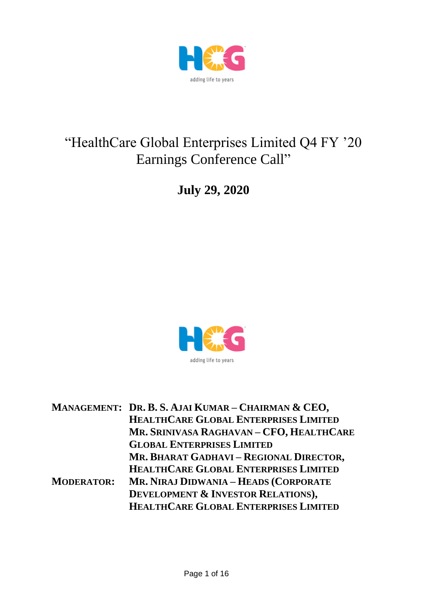

# "HealthCare Global Enterprises Limited Q4 FY '20 Earnings Conference Call"

**July 29, 2020**



|                   | MANAGEMENT: DR. B. S. AJAI KUMAR - CHAIRMAN & CEO, |
|-------------------|----------------------------------------------------|
|                   | HEALTHCARE GLOBAL ENTERPRISES LIMITED              |
|                   | MR. SRINIVASA RAGHAVAN - CFO, HEALTHCARE           |
|                   | <b>GLOBAL ENTERPRISES LIMITED</b>                  |
|                   | MR. BHARAT GADHAVI - REGIONAL DIRECTOR,            |
|                   | HEALTHCARE GLOBAL ENTERPRISES LIMITED              |
| <b>MODERATOR:</b> | MR. NIRAJ DIDWANIA – HEADS (CORPORATE              |
|                   | <b>DEVELOPMENT &amp; INVESTOR RELATIONS),</b>      |
|                   | HEALTHCARE GLOBAL ENTERPRISES LIMITED              |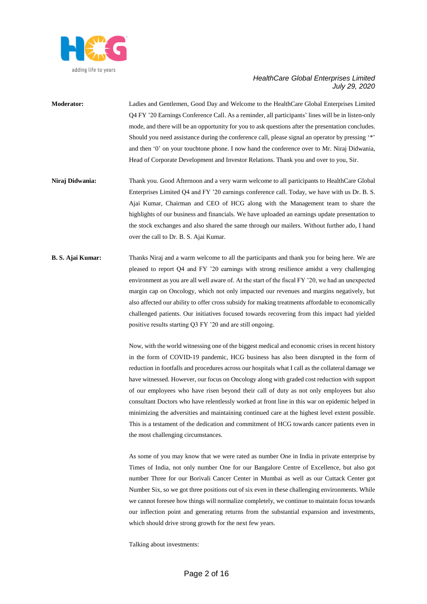

- **Moderator:** Ladies and Gentlemen, Good Day and Welcome to the HealthCare Global Enterprises Limited Q4 FY '20 Earnings Conference Call. As a reminder, all participants' lines will be in listen-only mode, and there will be an opportunity for you to ask questions after the presentation concludes. Should you need assistance during the conference call, please signal an operator by pressing '\*' and then '0' on your touchtone phone. I now hand the conference over to Mr. Niraj Didwania, Head of Corporate Development and Investor Relations. Thank you and over to you, Sir.
- **Niraj Didwania:** Thank you. Good Afternoon and a very warm welcome to all participants to HealthCare Global Enterprises Limited Q4 and FY '20 earnings conference call. Today, we have with us Dr. B. S. Ajai Kumar, Chairman and CEO of HCG along with the Management team to share the highlights of our business and financials. We have uploaded an earnings update presentation to the stock exchanges and also shared the same through our mailers. Without further ado, I hand over the call to Dr. B. S. Ajai Kumar.
- **B. S. Ajai Kumar:** Thanks Niraj and a warm welcome to all the participants and thank you for being here. We are pleased to report Q4 and FY '20 earnings with strong resilience amidst a very challenging environment as you are all well aware of. At the start of the fiscal FY '20, we had an unexpected margin cap on Oncology, which not only impacted our revenues and margins negatively, but also affected our ability to offer cross subsidy for making treatments affordable to economically challenged patients. Our initiatives focused towards recovering from this impact had yielded positive results starting Q3 FY '20 and are still ongoing.

Now, with the world witnessing one of the biggest medical and economic crises in recent history in the form of COVID-19 pandemic, HCG business has also been disrupted in the form of reduction in footfalls and procedures across our hospitals what I call as the collateral damage we have witnessed. However, our focus on Oncology along with graded cost reduction with support of our employees who have risen beyond their call of duty as not only employees but also consultant Doctors who have relentlessly worked at front line in this war on epidemic helped in minimizing the adversities and maintaining continued care at the highest level extent possible. This is a testament of the dedication and commitment of HCG towards cancer patients even in the most challenging circumstances.

As some of you may know that we were rated as number One in India in private enterprise by Times of India, not only number One for our Bangalore Centre of Excellence, but also got number Three for our Borivali Cancer Center in Mumbai as well as our Cuttack Center got Number Six, so we got three positions out of six even in these challenging environments. While we cannot foresee how things will normalize completely, we continue to maintain focus towards our inflection point and generating returns from the substantial expansion and investments, which should drive strong growth for the next few years.

Talking about investments: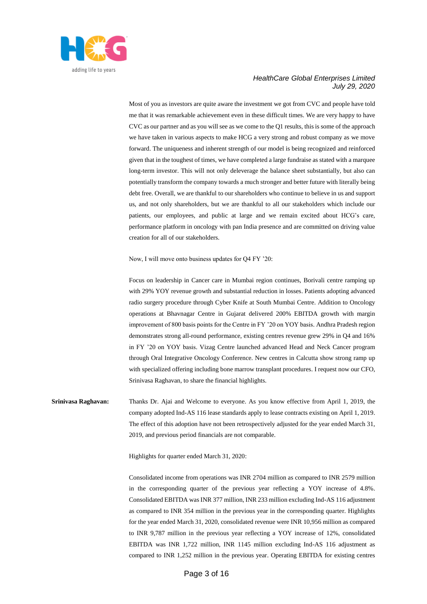

Most of you as investors are quite aware the investment we got from CVC and people have told me that it was remarkable achievement even in these difficult times. We are very happy to have CVC as our partner and as you will see as we come to the Q1 results, this is some of the approach we have taken in various aspects to make HCG a very strong and robust company as we move forward. The uniqueness and inherent strength of our model is being recognized and reinforced given that in the toughest of times, we have completed a large fundraise as stated with a marquee long-term investor. This will not only deleverage the balance sheet substantially, but also can potentially transform the company towards a much stronger and better future with literally being debt free. Overall, we are thankful to our shareholders who continue to believe in us and support us, and not only shareholders, but we are thankful to all our stakeholders which include our patients, our employees, and public at large and we remain excited about HCG's care, performance platform in oncology with pan India presence and are committed on driving value creation for all of our stakeholders.

Now, I will move onto business updates for Q4 FY '20:

Focus on leadership in Cancer care in Mumbai region continues, Borivali centre ramping up with 29% YOY revenue growth and substantial reduction in losses. Patients adopting advanced radio surgery procedure through Cyber Knife at South Mumbai Centre. Addition to Oncology operations at Bhavnagar Centre in Gujarat delivered 200% EBITDA growth with margin improvement of 800 basis points for the Centre in FY '20 on YOY basis. Andhra Pradesh region demonstrates strong all-round performance, existing centres revenue grew 29% in Q4 and 16% in FY '20 on YOY basis. Vizag Centre launched advanced Head and Neck Cancer program through Oral Integrative Oncology Conference. New centres in Calcutta show strong ramp up with specialized offering including bone marrow transplant procedures. I request now our CFO, Srinivasa Raghavan, to share the financial highlights.

**Srinivasa Raghavan:** Thanks Dr. Ajai and Welcome to everyone. As you know effective from April 1, 2019, the company adopted Ind-AS 116 lease standards apply to lease contracts existing on April 1, 2019. The effect of this adoption have not been retrospectively adjusted for the year ended March 31, 2019, and previous period financials are not comparable.

Highlights for quarter ended March 31, 2020:

Consolidated income from operations was INR 2704 million as compared to INR 2579 million in the corresponding quarter of the previous year reflecting a YOY increase of 4.8%. Consolidated EBITDA was INR 377 million, INR 233 million excluding Ind-AS 116 adjustment as compared to INR 354 million in the previous year in the corresponding quarter. Highlights for the year ended March 31, 2020, consolidated revenue were INR 10,956 million as compared to INR 9,787 million in the previous year reflecting a YOY increase of 12%, consolidated EBITDA was INR 1,722 million, INR 1145 million excluding Ind-AS 116 adjustment as compared to INR 1,252 million in the previous year. Operating EBITDA for existing centres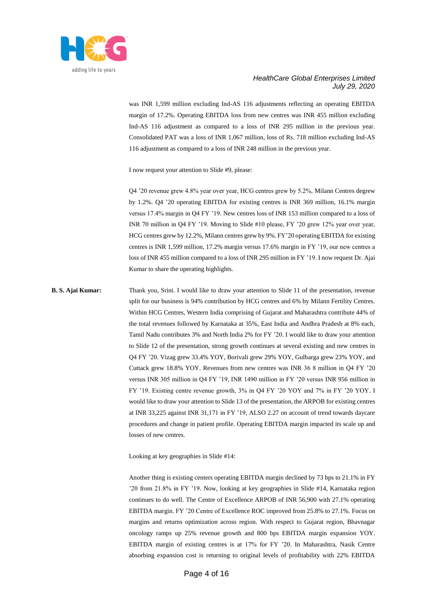

was INR 1,599 million excluding Ind-AS 116 adjustments reflecting an operating EBITDA margin of 17.2%. Operating EBITDA loss from new centres was INR 455 million excluding Ind-AS 116 adjustment as compared to a loss of INR 295 million in the previous year. Consolidated PAT was a loss of INR 1,067 million, loss of Rs. 718 million excluding Ind-AS 116 adjustment as compared to a loss of INR 248 million in the previous year.

I now request your attention to Slide #9, please:

Q4 '20 revenue grew 4.8% year over year, HCG centres grew by 5.2%, Milann Centres degrew by 1.2%. Q4 '20 operating EBITDA for existing centres is INR 369 million, 16.1% margin versus 17.4% margin in Q4 FY '19. New centres loss of INR 153 million compared to a loss of INR 70 million in Q4 FY '19. Moving to Slide #10 please, FY '20 grew 12% year over year, HCG centres grew by 12.2%, Milann centres grew by 9%. FY'20 operating EBITDA for existing centres is INR 1,599 million, 17.2% margin versus 17.6% margin in FY '19, our new centres a loss of INR 455 million compared to a loss of INR 295 million in FY '19. I now request Dr. Ajai Kumar to share the operating highlights.

**B. S. Ajai Kumar:** Thank you, Srini. I would like to draw your attention to Slide 11 of the presentation, revenue split for our business is 94% contribution by HCG centres and 6% by Milann Fertility Centres. Within HCG Centres, Western India comprising of Gujarat and Maharashtra contribute 44% of the total revenues followed by Karnataka at 35%, East India and Andhra Pradesh at 8% each, Tamil Nadu contributes 3% and North India 2% for FY '20. I would like to draw your attention to Slide 12 of the presentation, strong growth continues at several existing and new centres in Q4 FY '20. Vizag grew 33.4% YOY, Borivali grew 29% YOY, Gulbarga grew 23% YOY, and Cuttack grew 18.8% YOY. Revenues from new centres was INR 36 8 million in Q4 FY '20 versus INR 305 million in Q4 FY '19, INR 1490 million in FY '20 versus INR 956 million in FY '19. Existing centre revenue growth, 3% in Q4 FY '20 YOY and 7% in FY '20 YOY. I would like to draw your attention to Slide 13 of the presentation, the ARPOB for existing centres at INR 33,225 against INR 31,171 in FY '19, ALSO 2.27 on account of trend towards daycare procedures and change in patient profile. Operating EBITDA margin impacted its scale up and losses of new centres.

Looking at key geographies in Slide #14:

Another thing is existing centers operating EBITDA margin declined by 73 bps to 21.1% in FY '20 from 21.8% in FY '19. Now, looking at key geographies in Slide #14, Karnataka region continues to do well. The Centre of Excellence ARPOB of INR 56,900 with 27.1% operating EBITDA margin. FY '20 Centre of Excellence ROC improved from 25.8% to 27.1%. Focus on margins and returns optimization across region. With respect to Gujarat region, Bhavnagar oncology ramps up 25% revenue growth and 800 bps EBITDA margin expansion YOY. EBITDA margin of existing centres is at 17% for FY '20. In Maharashtra, Nasik Centre absorbing expansion cost is returning to original levels of profitability with 22% EBITDA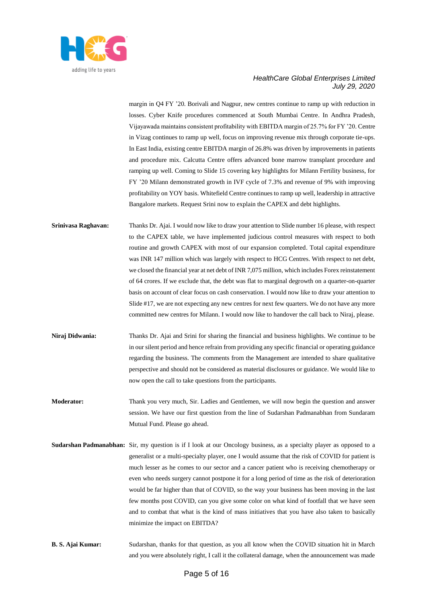

margin in Q4 FY '20. Borivali and Nagpur, new centres continue to ramp up with reduction in losses. Cyber Knife procedures commenced at South Mumbai Centre. In Andhra Pradesh, Vijayawada maintains consistent profitability with EBITDA margin of 25.7% for FY '20. Centre in Vizag continues to ramp up well, focus on improving revenue mix through corporate tie-ups. In East India, existing centre EBITDA margin of 26.8% was driven by improvements in patients and procedure mix. Calcutta Centre offers advanced bone marrow transplant procedure and ramping up well. Coming to Slide 15 covering key highlights for Milann Fertility business, for FY '20 Milann demonstrated growth in IVF cycle of 7.3% and revenue of 9% with improving profitability on YOY basis. Whitefield Centre continues to ramp up well, leadership in attractive Bangalore markets. Request Srini now to explain the CAPEX and debt highlights.

- **Srinivasa Raghavan:** Thanks Dr. Ajai. I would now like to draw your attention to Slide number 16 please, with respect to the CAPEX table, we have implemented judicious control measures with respect to both routine and growth CAPEX with most of our expansion completed. Total capital expenditure was INR 147 million which was largely with respect to HCG Centres. With respect to net debt, we closed the financial year at net debt of INR 7,075 million, which includes Forex reinstatement of 64 crores. If we exclude that, the debt was flat to marginal degrowth on a quarter-on-quarter basis on account of clear focus on cash conservation. I would now like to draw your attention to Slide #17, we are not expecting any new centres for next few quarters. We do not have any more committed new centres for Milann. I would now like to handover the call back to Niraj, please.
- **Niraj Didwania:** Thanks Dr. Ajai and Srini for sharing the financial and business highlights. We continue to be in our silent period and hence refrain from providing any specific financial or operating guidance regarding the business. The comments from the Management are intended to share qualitative perspective and should not be considered as material disclosures or guidance. We would like to now open the call to take questions from the participants.
- **Moderator:** Thank you very much, Sir. Ladies and Gentlemen, we will now begin the question and answer session. We have our first question from the line of Sudarshan Padmanabhan from Sundaram Mutual Fund. Please go ahead.
- **Sudarshan Padmanabhan:** Sir, my question is if I look at our Oncology business, as a specialty player as opposed to a generalist or a multi-specialty player, one I would assume that the risk of COVID for patient is much lesser as he comes to our sector and a cancer patient who is receiving chemotherapy or even who needs surgery cannot postpone it for a long period of time as the risk of deterioration would be far higher than that of COVID, so the way your business has been moving in the last few months post COVID, can you give some color on what kind of footfall that we have seen and to combat that what is the kind of mass initiatives that you have also taken to basically minimize the impact on EBITDA?
- **B. S. Ajai Kumar:** Sudarshan, thanks for that question, as you all know when the COVID situation hit in March and you were absolutely right, I call it the collateral damage, when the announcement was made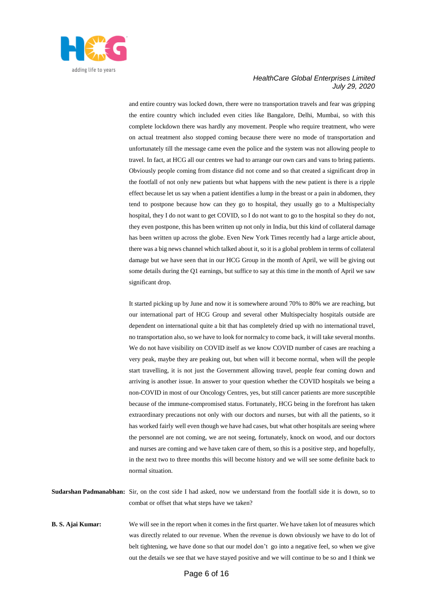

and entire country was locked down, there were no transportation travels and fear was gripping the entire country which included even cities like Bangalore, Delhi, Mumbai, so with this complete lockdown there was hardly any movement. People who require treatment, who were on actual treatment also stopped coming because there were no mode of transportation and unfortunately till the message came even the police and the system was not allowing people to travel. In fact, at HCG all our centres we had to arrange our own cars and vans to bring patients. Obviously people coming from distance did not come and so that created a significant drop in the footfall of not only new patients but what happens with the new patient is there is a ripple effect because let us say when a patient identifies a lump in the breast or a pain in abdomen, they tend to postpone because how can they go to hospital, they usually go to a Multispecialty hospital, they I do not want to get COVID, so I do not want to go to the hospital so they do not, they even postpone, this has been written up not only in India, but this kind of collateral damage has been written up across the globe. Even New York Times recently had a large article about, there was a big news channel which talked about it, so it is a global problem in terms of collateral damage but we have seen that in our HCG Group in the month of April, we will be giving out some details during the Q1 earnings, but suffice to say at this time in the month of April we saw significant drop.

It started picking up by June and now it is somewhere around 70% to 80% we are reaching, but our international part of HCG Group and several other Multispecialty hospitals outside are dependent on international quite a bit that has completely dried up with no international travel, no transportation also, so we have to look for normalcy to come back, it will take several months. We do not have visibility on COVID itself as we know COVID number of cases are reaching a very peak, maybe they are peaking out, but when will it become normal, when will the people start travelling, it is not just the Government allowing travel, people fear coming down and arriving is another issue. In answer to your question whether the COVID hospitals we being a non-COVID in most of our Oncology Centres, yes, but still cancer patients are more susceptible because of the immune-compromised status. Fortunately, HCG being in the forefront has taken extraordinary precautions not only with our doctors and nurses, but with all the patients, so it has worked fairly well even though we have had cases, but what other hospitals are seeing where the personnel are not coming, we are not seeing, fortunately, knock on wood, and our doctors and nurses are coming and we have taken care of them, so this is a positive step, and hopefully, in the next two to three months this will become history and we will see some definite back to normal situation.

| <b>Sudarshan Padmanabhan:</b> Sir, on the cost side I had asked, now we understand from the footfall side it is down, so to |                                                 |  |  |  |  |  |  |  |
|-----------------------------------------------------------------------------------------------------------------------------|-------------------------------------------------|--|--|--|--|--|--|--|
|                                                                                                                             | combat or offset that what steps have we taken? |  |  |  |  |  |  |  |

**B. S. Ajai Kumar:** We will see in the report when it comes in the first quarter. We have taken lot of measures which was directly related to our revenue. When the revenue is down obviously we have to do lot of belt tightening, we have done so that our model don't go into a negative feel, so when we give out the details we see that we have stayed positive and we will continue to be so and I think we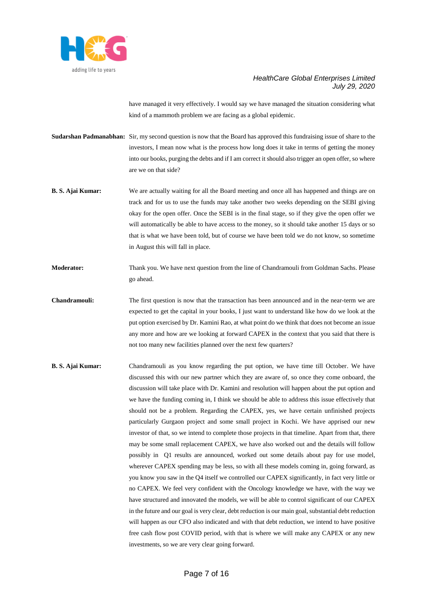

have managed it very effectively. I would say we have managed the situation considering what kind of a mammoth problem we are facing as a global epidemic.

**Sudarshan Padmanabhan:** Sir, my second question is now that the Board has approved this fundraising issue of share to the investors, I mean now what is the process how long does it take in terms of getting the money into our books, purging the debts and if I am correct it should also trigger an open offer, so where are we on that side?

- **B. S. Ajai Kumar:** We are actually waiting for all the Board meeting and once all has happened and things are on track and for us to use the funds may take another two weeks depending on the SEBI giving okay for the open offer. Once the SEBI is in the final stage, so if they give the open offer we will automatically be able to have access to the money, so it should take another 15 days or so that is what we have been told, but of course we have been told we do not know, so sometime in August this will fall in place.
- **Moderator:** Thank you. We have next question from the line of Chandramouli from Goldman Sachs. Please go ahead.
- **Chandramouli:** The first question is now that the transaction has been announced and in the near-term we are expected to get the capital in your books, I just want to understand like how do we look at the put option exercised by Dr. Kamini Rao, at what point do we think that does not become an issue any more and how are we looking at forward CAPEX in the context that you said that there is not too many new facilities planned over the next few quarters?
- **B. S. Ajai Kumar:** Chandramouli as you know regarding the put option, we have time till October. We have discussed this with our new partner which they are aware of, so once they come onboard, the discussion will take place with Dr. Kamini and resolution will happen about the put option and we have the funding coming in, I think we should be able to address this issue effectively that should not be a problem. Regarding the CAPEX, yes, we have certain unfinished projects particularly Gurgaon project and some small project in Kochi. We have apprised our new investor of that, so we intend to complete those projects in that timeline. Apart from that, there may be some small replacement CAPEX, we have also worked out and the details will follow possibly in Q1 results are announced, worked out some details about pay for use model, wherever CAPEX spending may be less, so with all these models coming in, going forward, as you know you saw in the Q4 itself we controlled our CAPEX significantly, in fact very little or no CAPEX. We feel very confident with the Oncology knowledge we have, with the way we have structured and innovated the models, we will be able to control significant of our CAPEX in the future and our goal is very clear, debt reduction is our main goal, substantial debt reduction will happen as our CFO also indicated and with that debt reduction, we intend to have positive free cash flow post COVID period, with that is where we will make any CAPEX or any new investments, so we are very clear going forward.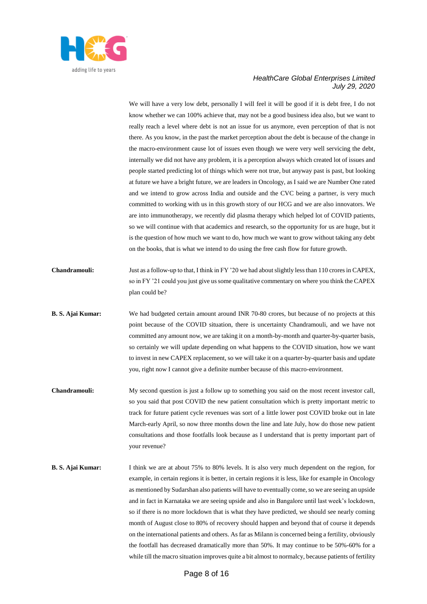

We will have a very low debt, personally I will feel it will be good if it is debt free, I do not know whether we can 100% achieve that, may not be a good business idea also, but we want to really reach a level where debt is not an issue for us anymore, even perception of that is not there. As you know, in the past the market perception about the debt is because of the change in the macro-environment cause lot of issues even though we were very well servicing the debt, internally we did not have any problem, it is a perception always which created lot of issues and people started predicting lot of things which were not true, but anyway past is past, but looking at future we have a bright future, we are leaders in Oncology, as I said we are Number One rated and we intend to grow across India and outside and the CVC being a partner, is very much committed to working with us in this growth story of our HCG and we are also innovators. We are into immunotherapy, we recently did plasma therapy which helped lot of COVID patients, so we will continue with that academics and research, so the opportunity for us are huge, but it is the question of how much we want to do, how much we want to grow without taking any debt on the books, that is what we intend to do using the free cash flow for future growth.

- **Chandramouli:** Just as a follow-up to that, I think in FY '20 we had about slightly less than 110 crores in CAPEX, so in FY '21 could you just give us some qualitative commentary on where you think the CAPEX plan could be?
- **B. S. Ajai Kumar:** We had budgeted certain amount around INR 70-80 crores, but because of no projects at this point because of the COVID situation, there is uncertainty Chandramouli, and we have not committed any amount now, we are taking it on a month-by-month and quarter-by-quarter basis, so certainly we will update depending on what happens to the COVID situation, how we want to invest in new CAPEX replacement, so we will take it on a quarter-by-quarter basis and update you, right now I cannot give a definite number because of this macro-environment.
- **Chandramouli:** My second question is just a follow up to something you said on the most recent investor call, so you said that post COVID the new patient consultation which is pretty important metric to track for future patient cycle revenues was sort of a little lower post COVID broke out in late March-early April, so now three months down the line and late July, how do those new patient consultations and those footfalls look because as I understand that is pretty important part of your revenue?
- **B. S. Ajai Kumar:** I think we are at about 75% to 80% levels. It is also very much dependent on the region, for example, in certain regions it is better, in certain regions it is less, like for example in Oncology as mentioned by Sudarshan also patients will have to eventually come, so we are seeing an upside and in fact in Karnataka we are seeing upside and also in Bangalore until last week's lockdown, so if there is no more lockdown that is what they have predicted, we should see nearly coming month of August close to 80% of recovery should happen and beyond that of course it depends on the international patients and others. As far as Milann is concerned being a fertility, obviously the footfall has decreased dramatically more than 50%. It may continue to be 50%-60% for a while till the macro situation improves quite a bit almost to normalcy, because patients of fertility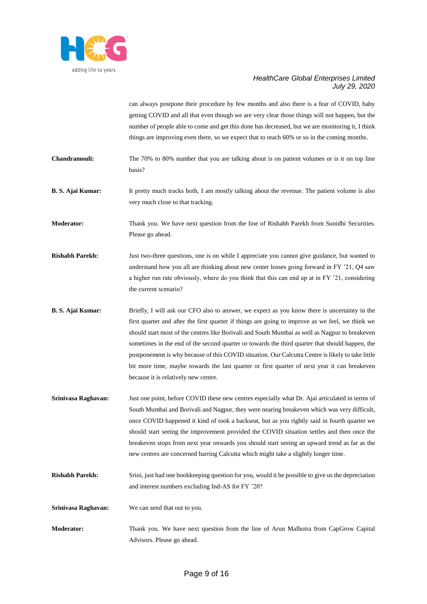

can always postpone their procedure by few months and also there is a fear of COVID, baby getting COVID and all that even though we are very clear those things will not happen, but the number of people able to come and get this done has decreased, but we are monitoring it, I think things are improving even there, so we expect that to reach 60% or so in the coming months.

- **Chandramouli:** The 70% to 80% number that you are talking about is on patient volumes or is it on top line basis?
- **B. S. Ajai Kumar:** It pretty much tracks both, I am mostly talking about the revenue. The patient volume is also very much close to that tracking.

**Moderator:** Thank you. We have next question from the line of Rishabh Parekh from Sunidhi Securities. Please go ahead.

- **Rishabh Parekh:** Just two-three questions, one is on while I appreciate you cannot give guidance, but wanted to understand how you all are thinking about new center losses going forward in FY '21, Q4 saw a higher run rate obviously, where do you think that this can end up at in FY '21, considering the current scenario?
- **B. S. Ajai Kumar:** Briefly, I will ask our CFO also to answer, we expect as you know there is uncertainty in the first quarter and after the first quarter if things are going to improve as we feel, we think we should start most of the centres like Borivali and South Mumbai as well as Nagpur to breakeven sometimes in the end of the second quarter or towards the third quarter that should happen, the postponement is why because of this COVID situation. Our Calcutta Centre is likely to take little bit more time, maybe towards the last quarter or first quarter of next year it can breakeven because it is relatively new centre.
- **Srinivasa Raghavan:** Just one point, before COVID these new centres especially what Dr. Ajai articulated in terms of South Mumbai and Borivali and Nagpur, they were nearing breakeven which was very difficult, once COVID happened it kind of took a backseat, but as you rightly said in fourth quarter we should start seeing the improvement provided the COVID situation settles and then once the breakeven stops from next year onwards you should start seeing an upward trend as far as the new centres are concerned barring Calcutta which might take a slightly longer time.
- **Rishabh Parekh:** Srini, just had one bookkeeping question for you, would it be possible to give us the depreciation and interest numbers excluding Ind-AS for FY '20?
- **Srinivasa Raghavan:** We can send that out to you.
- **Moderator:** Thank you. We have next question from the line of Arun Malhotra from CapGrow Capital Advisors. Please go ahead.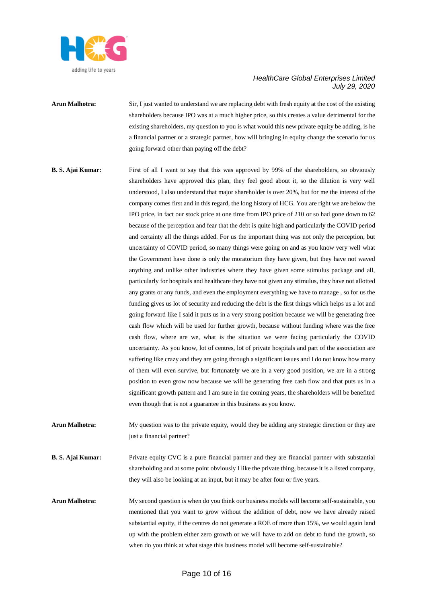

- **Arun Malhotra:** Sir, I just wanted to understand we are replacing debt with fresh equity at the cost of the existing shareholders because IPO was at a much higher price, so this creates a value detrimental for the existing shareholders, my question to you is what would this new private equity be adding, is he a financial partner or a strategic partner, how will bringing in equity change the scenario for us going forward other than paying off the debt?
- **B. S. Ajai Kumar:** First of all I want to say that this was approved by 99% of the shareholders, so obviously shareholders have approved this plan, they feel good about it, so the dilution is very well understood, I also understand that major shareholder is over 20%, but for me the interest of the company comes first and in this regard, the long history of HCG. You are right we are below the IPO price, in fact our stock price at one time from IPO price of 210 or so had gone down to 62 because of the perception and fear that the debt is quite high and particularly the COVID period and certainty all the things added. For us the important thing was not only the perception, but uncertainty of COVID period, so many things were going on and as you know very well what the Government have done is only the moratorium they have given, but they have not waved anything and unlike other industries where they have given some stimulus package and all, particularly for hospitals and healthcare they have not given any stimulus, they have not allotted any grants or any funds, and even the employment everything we have to manage , so for us the funding gives us lot of security and reducing the debt is the first things which helps us a lot and going forward like I said it puts us in a very strong position because we will be generating free cash flow which will be used for further growth, because without funding where was the free cash flow, where are we, what is the situation we were facing particularly the COVID uncertainty. As you know, lot of centres, lot of private hospitals and part of the association are suffering like crazy and they are going through a significant issues and I do not know how many of them will even survive, but fortunately we are in a very good position, we are in a strong position to even grow now because we will be generating free cash flow and that puts us in a significant growth pattern and I am sure in the coming years, the shareholders will be benefited even though that is not a guarantee in this business as you know.
- **Arun Malhotra:** My question was to the private equity, would they be adding any strategic direction or they are just a financial partner?
- **B. S. Ajai Kumar:** Private equity CVC is a pure financial partner and they are financial partner with substantial shareholding and at some point obviously I like the private thing, because it is a listed company, they will also be looking at an input, but it may be after four or five years.
- **Arun Malhotra:** My second question is when do you think our business models will become self-sustainable, you mentioned that you want to grow without the addition of debt, now we have already raised substantial equity, if the centres do not generate a ROE of more than 15%, we would again land up with the problem either zero growth or we will have to add on debt to fund the growth, so when do you think at what stage this business model will become self-sustainable?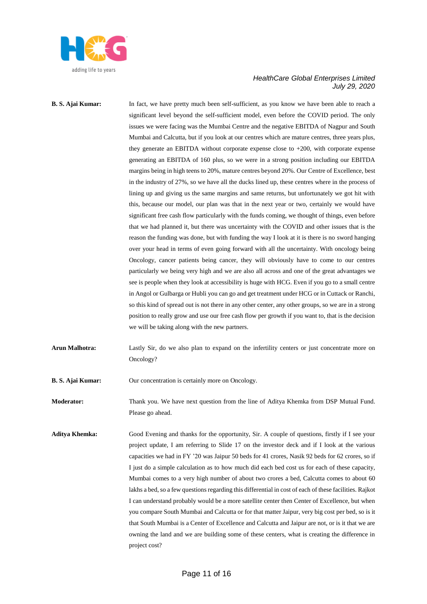

**B. S. Ajai Kumar:** In fact, we have pretty much been self-sufficient, as you know we have been able to reach a significant level beyond the self-sufficient model, even before the COVID period. The only issues we were facing was the Mumbai Centre and the negative EBITDA of Nagpur and South Mumbai and Calcutta, but if you look at our centres which are mature centres, three years plus, they generate an EBITDA without corporate expense close to +200, with corporate expense generating an EBITDA of 160 plus, so we were in a strong position including our EBITDA margins being in high teens to 20%, mature centres beyond 20%. Our Centre of Excellence, best in the industry of 27%, so we have all the ducks lined up, these centres where in the process of lining up and giving us the same margins and same returns, but unfortunately we got hit with this, because our model, our plan was that in the next year or two, certainly we would have significant free cash flow particularly with the funds coming, we thought of things, even before that we had planned it, but there was uncertainty with the COVID and other issues that is the reason the funding was done, but with funding the way I look at it is there is no sword hanging over your head in terms of even going forward with all the uncertainty. With oncology being Oncology, cancer patients being cancer, they will obviously have to come to our centres particularly we being very high and we are also all across and one of the great advantages we see is people when they look at accessibility is huge with HCG. Even if you go to a small centre in Angol or Gulbarga or Hubli you can go and get treatment under HCG or in Cuttack or Ranchi, so this kind of spread out is not there in any other center, any other groups, so we are in a strong position to really grow and use our free cash flow per growth if you want to, that is the decision we will be taking along with the new partners.

**Arun Malhotra:** Lastly Sir, do we also plan to expand on the infertility centers or just concentrate more on Oncology?

**B. S. Ajai Kumar:** Our concentration is certainly more on Oncology.

**Moderator:** Thank you. We have next question from the line of Aditya Khemka from DSP Mutual Fund. Please go ahead.

**Aditya Khemka:** Good Evening and thanks for the opportunity, Sir. A couple of questions, firstly if I see your project update, I am referring to Slide 17 on the investor deck and if I look at the various capacities we had in FY '20 was Jaipur 50 beds for 41 crores, Nasik 92 beds for 62 crores, so if I just do a simple calculation as to how much did each bed cost us for each of these capacity, Mumbai comes to a very high number of about two crores a bed, Calcutta comes to about 60 lakhs a bed, so a few questions regarding this differential in cost of each of these facilities. Rajkot I can understand probably would be a more satellite center then Center of Excellence, but when you compare South Mumbai and Calcutta or for that matter Jaipur, very big cost per bed, so is it that South Mumbai is a Center of Excellence and Calcutta and Jaipur are not, or is it that we are owning the land and we are building some of these centers, what is creating the difference in project cost?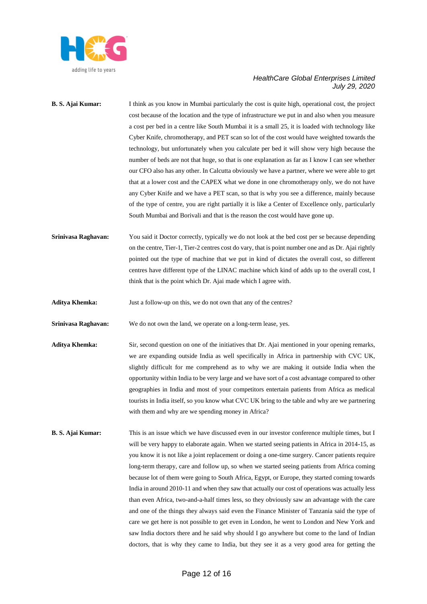

- **B. S. Ajai Kumar:** I think as you know in Mumbai particularly the cost is quite high, operational cost, the project cost because of the location and the type of infrastructure we put in and also when you measure a cost per bed in a centre like South Mumbai it is a small 25, it is loaded with technology like Cyber Knife, chromotherapy, and PET scan so lot of the cost would have weighted towards the technology, but unfortunately when you calculate per bed it will show very high because the number of beds are not that huge, so that is one explanation as far as I know I can see whether our CFO also has any other. In Calcutta obviously we have a partner, where we were able to get that at a lower cost and the CAPEX what we done in one chromotherapy only, we do not have any Cyber Knife and we have a PET scan, so that is why you see a difference, mainly because of the type of centre, you are right partially it is like a Center of Excellence only, particularly South Mumbai and Borivali and that is the reason the cost would have gone up.
- **Srinivasa Raghavan:** You said it Doctor correctly, typically we do not look at the bed cost per se because depending on the centre, Tier-1, Tier-2 centres cost do vary, that is point number one and as Dr. Ajai rightly pointed out the type of machine that we put in kind of dictates the overall cost, so different centres have different type of the LINAC machine which kind of adds up to the overall cost, I think that is the point which Dr. Ajai made which I agree with.
- **Aditya Khemka:** Just a follow-up on this, we do not own that any of the centres?
- **Srinivasa Raghavan:** We do not own the land, we operate on a long-term lease, yes.
- **Aditya Khemka:** Sir, second question on one of the initiatives that Dr. Ajai mentioned in your opening remarks, we are expanding outside India as well specifically in Africa in partnership with CVC UK, slightly difficult for me comprehend as to why we are making it outside India when the opportunity within India to be very large and we have sort of a cost advantage compared to other geographies in India and most of your competitors entertain patients from Africa as medical tourists in India itself, so you know what CVC UK bring to the table and why are we partnering with them and why are we spending money in Africa?
- **B. S. Ajai Kumar:** This is an issue which we have discussed even in our investor conference multiple times, but I will be very happy to elaborate again. When we started seeing patients in Africa in 2014-15, as you know it is not like a joint replacement or doing a one-time surgery. Cancer patients require long-term therapy, care and follow up, so when we started seeing patients from Africa coming because lot of them were going to South Africa, Egypt, or Europe, they started coming towards India in around 2010-11 and when they saw that actually our cost of operations was actually less than even Africa, two-and-a-half times less, so they obviously saw an advantage with the care and one of the things they always said even the Finance Minister of Tanzania said the type of care we get here is not possible to get even in London, he went to London and New York and saw India doctors there and he said why should I go anywhere but come to the land of Indian doctors, that is why they came to India, but they see it as a very good area for getting the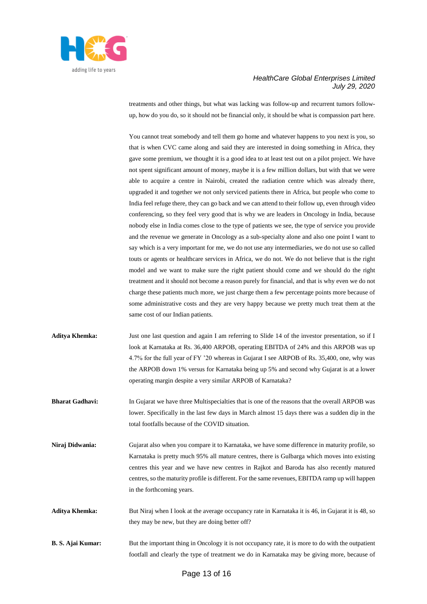

treatments and other things, but what was lacking was follow-up and recurrent tumors followup, how do you do, so it should not be financial only, it should be what is compassion part here.

You cannot treat somebody and tell them go home and whatever happens to you next is you, so that is when CVC came along and said they are interested in doing something in Africa, they gave some premium, we thought it is a good idea to at least test out on a pilot project. We have not spent significant amount of money, maybe it is a few million dollars, but with that we were able to acquire a centre in Nairobi, created the radiation centre which was already there, upgraded it and together we not only serviced patients there in Africa, but people who come to India feel refuge there, they can go back and we can attend to their follow up, even through video conferencing, so they feel very good that is why we are leaders in Oncology in India, because nobody else in India comes close to the type of patients we see, the type of service you provide and the revenue we generate in Oncology as a sub-specialty alone and also one point I want to say which is a very important for me, we do not use any intermediaries, we do not use so called touts or agents or healthcare services in Africa, we do not. We do not believe that is the right model and we want to make sure the right patient should come and we should do the right treatment and it should not become a reason purely for financial, and that is why even we do not charge these patients much more, we just charge them a few percentage points more because of some administrative costs and they are very happy because we pretty much treat them at the same cost of our Indian patients.

- **Aditya Khemka:** Just one last question and again I am referring to Slide 14 of the investor presentation, so if I look at Karnataka at Rs. 36,400 ARPOB, operating EBITDA of 24% and this ARPOB was up 4.7% for the full year of FY '20 whereas in Gujarat I see ARPOB of Rs. 35,400, one, why was the ARPOB down 1% versus for Karnataka being up 5% and second why Gujarat is at a lower operating margin despite a very similar ARPOB of Karnataka?
- **Bharat Gadhavi:** In Gujarat we have three Multispecialties that is one of the reasons that the overall ARPOB was lower. Specifically in the last few days in March almost 15 days there was a sudden dip in the total footfalls because of the COVID situation.
- **Niraj Didwania:** Gujarat also when you compare it to Karnataka, we have some difference in maturity profile, so Karnataka is pretty much 95% all mature centres, there is Gulbarga which moves into existing centres this year and we have new centres in Rajkot and Baroda has also recently matured centres, so the maturity profile is different. For the same revenues, EBITDA ramp up will happen in the forthcoming years.
- Aditya Khemka: But Niraj when I look at the average occupancy rate in Karnataka it is 46, in Gujarat it is 48, so they may be new, but they are doing better off?
- **B. S. Ajai Kumar:** But the important thing in Oncology it is not occupancy rate, it is more to do with the outpatient footfall and clearly the type of treatment we do in Karnataka may be giving more, because of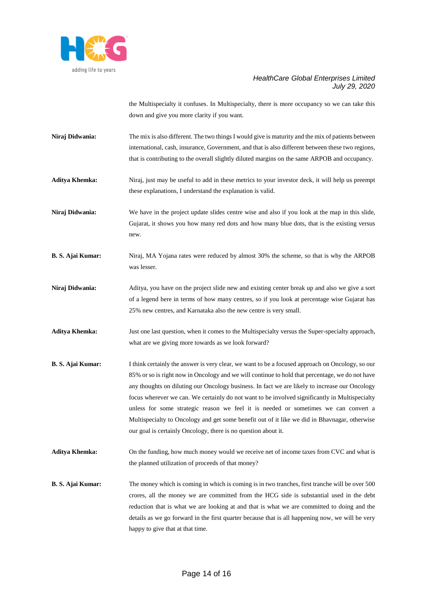

the Multispecialty it confuses. In Multispecialty, there is more occupancy so we can take this down and give you more clarity if you want.

**Niraj Didwania:** The mix is also different. The two things I would give is maturity and the mix of patients between international, cash, insurance, Government, and that is also different between these two regions, that is contributing to the overall slightly diluted margins on the same ARPOB and occupancy.

**Aditya Khemka:** Niraj, just may be useful to add in these metrics to your investor deck, it will help us preempt these explanations, I understand the explanation is valid.

**Niraj Didwania:** We have in the project update slides centre wise and also if you look at the map in this slide, Gujarat, it shows you how many red dots and how many blue dots, that is the existing versus new.

**B. S. Ajai Kumar:** Niraj, MA Yojana rates were reduced by almost 30% the scheme, so that is why the ARPOB was lesser.

**Niraj Didwania:** Aditya, you have on the project slide new and existing center break up and also we give a sort of a legend here in terms of how many centres, so if you look at percentage wise Gujarat has 25% new centres, and Karnataka also the new centre is very small.

**Aditya Khemka:** Just one last question, when it comes to the Multispecialty versus the Super-specialty approach, what are we giving more towards as we look forward?

- **B. S. Ajai Kumar:** I think certainly the answer is very clear, we want to be a focused approach on Oncology, so our 85% or so is right now in Oncology and we will continue to hold that percentage, we do not have any thoughts on diluting our Oncology business. In fact we are likely to increase our Oncology focus wherever we can. We certainly do not want to be involved significantly in Multispecialty unless for some strategic reason we feel it is needed or sometimes we can convert a Multispecialty to Oncology and get some benefit out of it like we did in Bhavnagar, otherwise our goal is certainly Oncology, there is no question about it.
- **Aditya Khemka:** On the funding, how much money would we receive net of income taxes from CVC and what is the planned utilization of proceeds of that money?
- **B. S. Ajai Kumar:** The money which is coming in which is coming is in two tranches, first tranche will be over 500 crores, all the money we are committed from the HCG side is substantial used in the debt reduction that is what we are looking at and that is what we are committed to doing and the details as we go forward in the first quarter because that is all happening now, we will be very happy to give that at that time.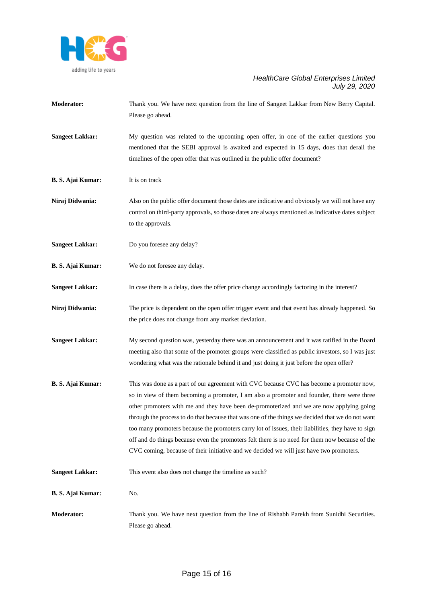

**Moderator:** Thank you. We have next question from the line of Sangeet Lakkar from New Berry Capital. Please go ahead. **Sangeet Lakkar:** My question was related to the upcoming open offer, in one of the earlier questions you mentioned that the SEBI approval is awaited and expected in 15 days, does that derail the timelines of the open offer that was outlined in the public offer document? **B. S. Ajai Kumar:** It is on track **Niraj Didwania:** Also on the public offer document those dates are indicative and obviously we will not have any control on third-party approvals, so those dates are always mentioned as indicative dates subject to the approvals. **Sangeet Lakkar:** Do you foresee any delay? **B. S. Ajai Kumar:** We do not foresee any delay. **Sangeet Lakkar:** In case there is a delay, does the offer price change accordingly factoring in the interest? **Niraj Didwania:** The price is dependent on the open offer trigger event and that event has already happened. So the price does not change from any market deviation. **Sangeet Lakkar:** My second question was, yesterday there was an announcement and it was ratified in the Board meeting also that some of the promoter groups were classified as public investors, so I was just wondering what was the rationale behind it and just doing it just before the open offer? **B. S. Ajai Kumar:** This was done as a part of our agreement with CVC because CVC has become a promoter now, so in view of them becoming a promoter, I am also a promoter and founder, there were three other promoters with me and they have been de-promoterized and we are now applying going through the process to do that because that was one of the things we decided that we do not want too many promoters because the promoters carry lot of issues, their liabilities, they have to sign off and do things because even the promoters felt there is no need for them now because of the CVC coming, because of their initiative and we decided we will just have two promoters. **Sangeet Lakkar:** This event also does not change the timeline as such? **B. S. Ajai Kumar:** No. **Moderator:** Thank you. We have next question from the line of Rishabh Parekh from Sunidhi Securities. Please go ahead.